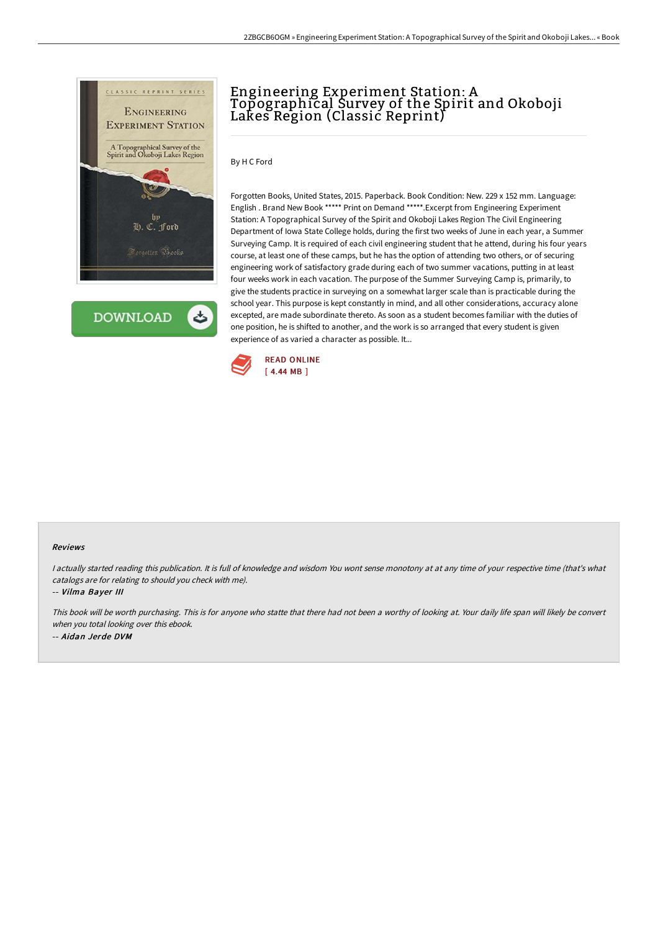

**DOWNLOAD** 

# Engineering Experiment Station: A Topographical Survey of the Spirit and Okoboji Lakes Region (Classic Reprint)

By H C Ford

Forgotten Books, United States, 2015. Paperback. Book Condition: New. 229 x 152 mm. Language: English . Brand New Book \*\*\*\*\* Print on Demand \*\*\*\*\*.Excerpt from Engineering Experiment Station: A Topographical Survey of the Spirit and Okoboji Lakes Region The Civil Engineering Department of Iowa State College holds, during the first two weeks of June in each year, a Summer Surveying Camp. It is required of each civil engineering student that he attend, during his four years course, at least one of these camps, but he has the option of attending two others, or of securing engineering work of satisfactory grade during each of two summer vacations, putting in at least four weeks work in each vacation. The purpose of the Summer Surveying Camp is, primarily, to give the students practice in surveying on a somewhat larger scale than is practicable during the school year. This purpose is kept constantly in mind, and all other considerations, accuracy alone excepted, are made subordinate thereto. As soon as a student becomes familiar with the duties of one position, he is shifted to another, and the work is so arranged that every student is given experience of as varied a character as possible. It...



#### Reviews

I actually started reading this publication. It is full of knowledge and wisdom You wont sense monotony at at any time of your respective time (that's what catalogs are for relating to should you check with me).

-- Vilma Bayer III

This book will be worth purchasing. This is for anyone who statte that there had not been <sup>a</sup> worthy of looking at. Your daily life span will likely be convert when you total looking over this ebook. -- Aidan Jerde DVM